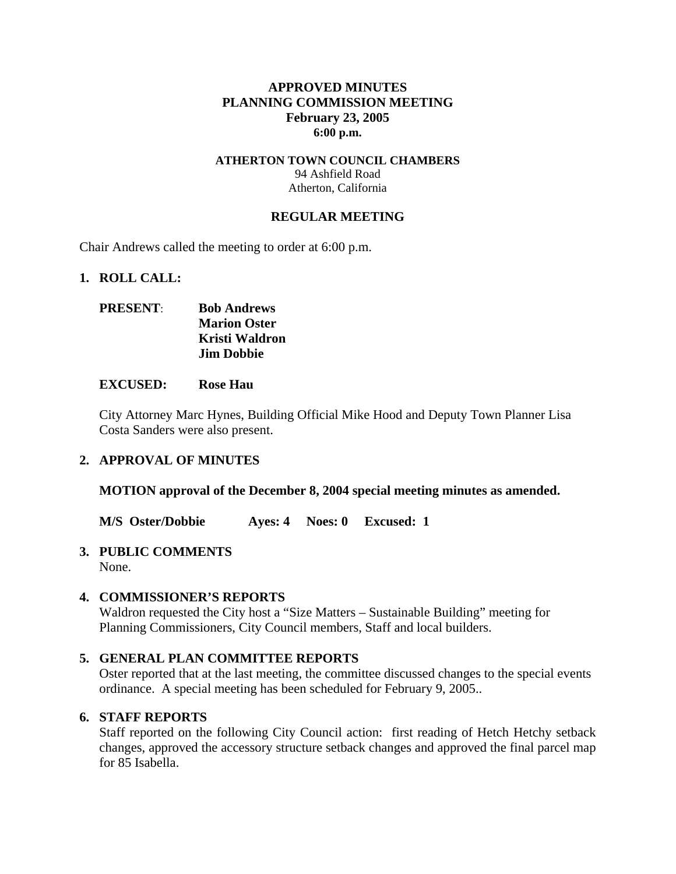## **APPROVED MINUTES PLANNING COMMISSION MEETING February 23, 2005 6:00 p.m.**

### **ATHERTON TOWN COUNCIL CHAMBERS**  94 Ashfield Road Atherton, California

### **REGULAR MEETING**

Chair Andrews called the meeting to order at 6:00 p.m.

### **1. ROLL CALL:**

| <b>PRESENT:</b> | <b>Bob Andrews</b>  |
|-----------------|---------------------|
|                 | <b>Marion Oster</b> |
|                 | Kristi Waldron      |
|                 | <b>Jim Dobbie</b>   |

### **EXCUSED: Rose Hau**

City Attorney Marc Hynes, Building Official Mike Hood and Deputy Town Planner Lisa Costa Sanders were also present.

### **2. APPROVAL OF MINUTES**

**MOTION approval of the December 8, 2004 special meeting minutes as amended.** 

**M/S Oster/Dobbie Ayes: 4 Noes: 0 Excused: 1** 

### **3. PUBLIC COMMENTS**

None.

### **4. COMMISSIONER'S REPORTS**

Waldron requested the City host a "Size Matters – Sustainable Building" meeting for Planning Commissioners, City Council members, Staff and local builders.

### **5. GENERAL PLAN COMMITTEE REPORTS**

Oster reported that at the last meeting, the committee discussed changes to the special events ordinance. A special meeting has been scheduled for February 9, 2005..

### **6. STAFF REPORTS**

Staff reported on the following City Council action: first reading of Hetch Hetchy setback changes, approved the accessory structure setback changes and approved the final parcel map for 85 Isabella.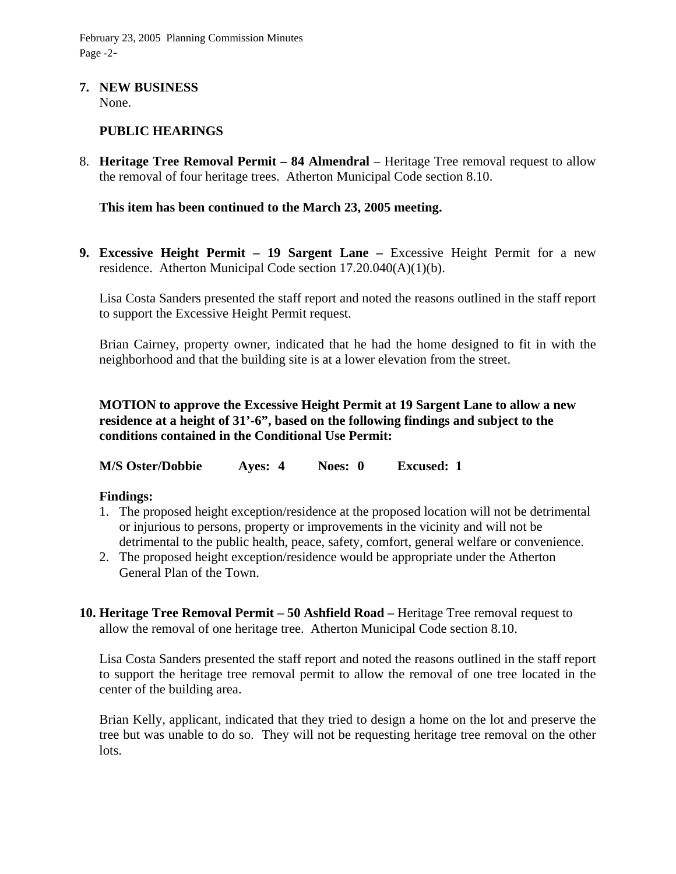February 23, 2005 Planning Commission Minutes Page -2-

# **7. NEW BUSINESS**

None.

# **PUBLIC HEARINGS**

8. **Heritage Tree Removal Permit – 84 Almendral** – Heritage Tree removal request to allow the removal of four heritage trees. Atherton Municipal Code section 8.10.

**This item has been continued to the March 23, 2005 meeting.** 

**9. Excessive Height Permit – 19 Sargent Lane –** Excessive Height Permit for a new residence. Atherton Municipal Code section 17.20.040(A)(1)(b).

Lisa Costa Sanders presented the staff report and noted the reasons outlined in the staff report to support the Excessive Height Permit request.

Brian Cairney, property owner, indicated that he had the home designed to fit in with the neighborhood and that the building site is at a lower elevation from the street.

**MOTION to approve the Excessive Height Permit at 19 Sargent Lane to allow a new residence at a height of 31'-6", based on the following findings and subject to the conditions contained in the Conditional Use Permit:** 

**M/S Oster/Dobbie Ayes: 4 Noes: 0 Excused: 1** 

### **Findings:**

- 1. The proposed height exception/residence at the proposed location will not be detrimental or injurious to persons, property or improvements in the vicinity and will not be detrimental to the public health, peace, safety, comfort, general welfare or convenience.
- 2. The proposed height exception/residence would be appropriate under the Atherton General Plan of the Town.
- **10. Heritage Tree Removal Permit 50 Ashfield Road** Heritage Tree removal request to allow the removal of one heritage tree. Atherton Municipal Code section 8.10.

Lisa Costa Sanders presented the staff report and noted the reasons outlined in the staff report to support the heritage tree removal permit to allow the removal of one tree located in the center of the building area.

Brian Kelly, applicant, indicated that they tried to design a home on the lot and preserve the tree but was unable to do so. They will not be requesting heritage tree removal on the other lots.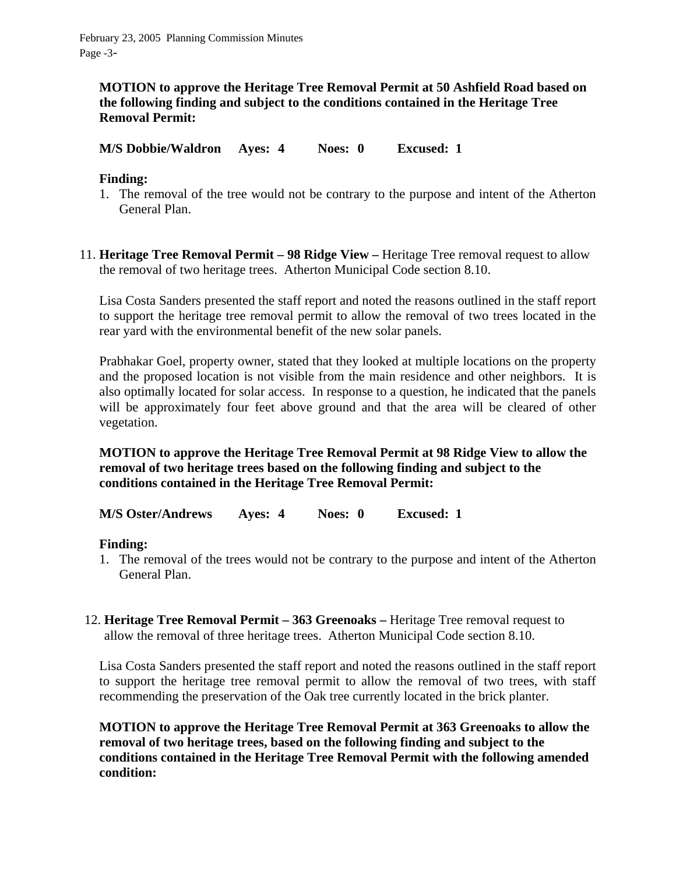**MOTION to approve the Heritage Tree Removal Permit at 50 Ashfield Road based on the following finding and subject to the conditions contained in the Heritage Tree Removal Permit:** 

**M/S Dobbie/Waldron Ayes: 4 Noes: 0 Excused: 1** 

# **Finding:**

- 1. The removal of the tree would not be contrary to the purpose and intent of the Atherton General Plan.
- 11. **Heritage Tree Removal Permit 98 Ridge View** Heritage Tree removal request to allow the removal of two heritage trees. Atherton Municipal Code section 8.10.

Lisa Costa Sanders presented the staff report and noted the reasons outlined in the staff report to support the heritage tree removal permit to allow the removal of two trees located in the rear yard with the environmental benefit of the new solar panels.

Prabhakar Goel, property owner, stated that they looked at multiple locations on the property and the proposed location is not visible from the main residence and other neighbors. It is also optimally located for solar access. In response to a question, he indicated that the panels will be approximately four feet above ground and that the area will be cleared of other vegetation.

**MOTION to approve the Heritage Tree Removal Permit at 98 Ridge View to allow the removal of two heritage trees based on the following finding and subject to the conditions contained in the Heritage Tree Removal Permit:** 

**M/S Oster/Andrews Ayes: 4 Noes: 0 Excused: 1** 

# **Finding:**

- 1. The removal of the trees would not be contrary to the purpose and intent of the Atherton General Plan.
- 12. **Heritage Tree Removal Permit 363 Greenoaks** Heritage Tree removal request to allow the removal of three heritage trees. Atherton Municipal Code section 8.10.

Lisa Costa Sanders presented the staff report and noted the reasons outlined in the staff report to support the heritage tree removal permit to allow the removal of two trees, with staff recommending the preservation of the Oak tree currently located in the brick planter.

**MOTION to approve the Heritage Tree Removal Permit at 363 Greenoaks to allow the removal of two heritage trees, based on the following finding and subject to the conditions contained in the Heritage Tree Removal Permit with the following amended condition:**